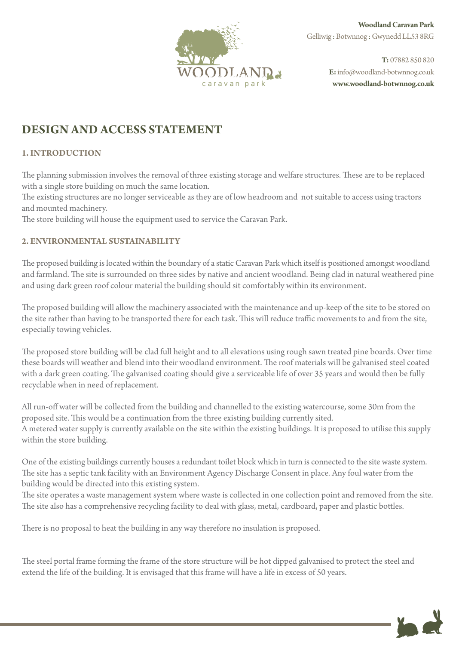

**Woodland Caravan Park** Gelliwig : Botwnnog : Gwynedd LL53 8RG

**T:** 07882 850 820 **E:**info@woodland-botwnnog.co.uk **c a r a v a n p a r k www.woodland-botwnnog.co.uk**

# **DESIGN AND ACCESS STATEMENT**

# **1. INTRODUCTION**

The planning submission involves the removal of three existing storage and welfare structures. These are to be replaced with a single store building on much the same location.

The existing structures are no longer serviceable as they are of low headroom and not suitable to access using tractors and mounted machinery.

The store building will house the equipment used to service the Caravan Park.

## **2. ENVIRONMENTAL SUSTAINABILITY**

The proposed building is located within the boundary of a static Caravan Park which itself is positioned amongst woodland and farmland. The site is surrounded on three sides by native and ancient woodland. Being clad in natural weathered pine and using dark green roof colour material the building should sit comfortably within its environment.

The proposed building will allow the machinery associated with the maintenance and up-keep of the site to be stored on the site rather than having to be transported there for each task. This will reduce traffic movements to and from the site, especially towing vehicles.

The proposed store building will be clad full height and to all elevations using rough sawn treated pine boards. Over time these boards will weather and blend into their woodland environment. The roof materials will be galvanised steel coated with a dark green coating. The galvanised coating should give a serviceable life of over 35 years and would then be fully recyclable when in need of replacement.

All run-off water will be collected from the building and channelled to the existing watercourse, some 30m from the proposed site. This would be a continuation from the three existing building currently sited. A metered water supply is currently available on the site within the existing buildings. It is proposed to utilise this supply within the store building.

One of the existing buildings currently houses a redundant toilet block which in turn is connected to the site waste system. The site has a septic tank facility with an Environment Agency Discharge Consent in place. Any foul water from the building would be directed into this existing system.

The site operates a waste management system where waste is collected in one collection point and removed from the site. The site also has a comprehensive recycling facility to deal with glass, metal, cardboard, paper and plastic bottles.

There is no proposal to heat the building in any way therefore no insulation is proposed.

The steel portal frame forming the frame of the store structure will be hot dipped galvanised to protect the steel and extend the life of the building. It is envisaged that this frame will have a life in excess of 50 years.